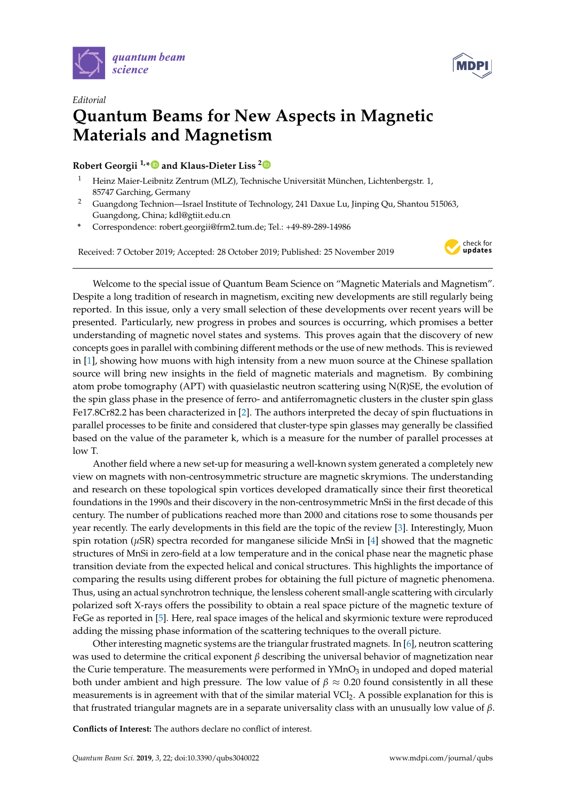



## *Editorial* **Quantum Beams for New Aspects in Magnetic Materials and Magnetism**

## **Robert Georgii 1,[\\*](https://orcid.org/0000-0002-9366-4935) and Klaus-Dieter Liss [2](https://orcid.org/0000-0000-000-000X)**

- <sup>1</sup> Heinz Maier-Leibnitz Zentrum (MLZ), Technische Universität München, Lichtenbergstr. 1, 85747 Garching, Germany
- <sup>2</sup> Guangdong Technion—Israel Institute of Technology, 241 Daxue Lu, Jinping Qu, Shantou 515063, Guangdong, China; kdl@gtiit.edu.cn
- **\*** Correspondence: robert.georgii@frm2.tum.de; Tel.: +49-89-289-14986

Received: 7 October 2019; Accepted: 28 October 2019; Published: 25 November 2019



Welcome to the special issue of Quantum Beam Science on "Magnetic Materials and Magnetism". Despite a long tradition of research in magnetism, exciting new developments are still regularly being reported. In this issue, only a very small selection of these developments over recent years will be presented. Particularly, new progress in probes and sources is occurring, which promises a better understanding of magnetic novel states and systems. This proves again that the discovery of new concepts goes in parallel with combining different methods or the use of new methods. This is reviewed in [\[1\]](#page-1-0), showing how muons with high intensity from a new muon source at the Chinese spallation source will bring new insights in the field of magnetic materials and magnetism. By combining atom probe tomography (APT) with quasielastic neutron scattering using N(R)SE, the evolution of the spin glass phase in the presence of ferro- and antiferromagnetic clusters in the cluster spin glass Fe17.8Cr82.2 has been characterized in [\[2\]](#page-1-1). The authors interpreted the decay of spin fluctuations in parallel processes to be finite and considered that cluster-type spin glasses may generally be classified based on the value of the parameter k, which is a measure for the number of parallel processes at low T.

Another field where a new set-up for measuring a well-known system generated a completely new view on magnets with non-centrosymmetric structure are magnetic skrymions. The understanding and research on these topological spin vortices developed dramatically since their first theoretical foundations in the 1990s and their discovery in the non-centrosymmetric MnSi in the first decade of this century. The number of publications reached more than 2000 and citations rose to some thousands per year recently. The early developments in this field are the topic of the review [\[3\]](#page-1-2). Interestingly, Muon spin rotation (*µ*SR) spectra recorded for manganese silicide MnSi in [\[4\]](#page-1-3) showed that the magnetic structures of MnSi in zero-field at a low temperature and in the conical phase near the magnetic phase transition deviate from the expected helical and conical structures. This highlights the importance of comparing the results using different probes for obtaining the full picture of magnetic phenomena. Thus, using an actual synchrotron technique, the lensless coherent small-angle scattering with circularly polarized soft X-rays offers the possibility to obtain a real space picture of the magnetic texture of FeGe as reported in [\[5\]](#page-1-4). Here, real space images of the helical and skyrmionic texture were reproduced adding the missing phase information of the scattering techniques to the overall picture.

Other interesting magnetic systems are the triangular frustrated magnets. In [\[6\]](#page-1-5), neutron scattering was used to determine the critical exponent *β* describing the universal behavior of magnetization near the Curie temperature. The measurements were performed in YMnO<sub>3</sub> in undoped and doped material both under ambient and high pressure. The low value of  $\beta \approx 0.20$  found consistently in all these measurements is in agreement with that of the similar material  $\text{VCI}_2$ . A possible explanation for this is that frustrated triangular magnets are in a separate universality class with an unusually low value of *β*.

**Conflicts of Interest:** The authors declare no conflict of interest.